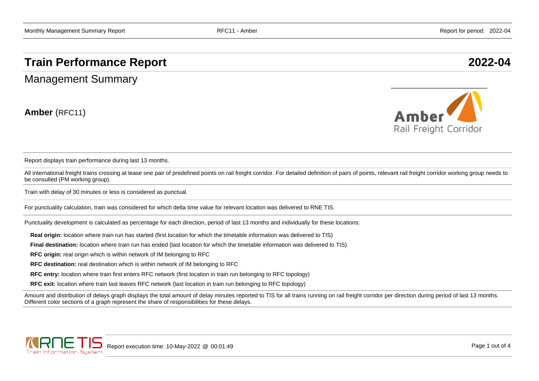## **Train Performance Report 2022-04**

Management Summary

**Amber** (RFC11)



Report displays train performance during last 13 months.

All international freight trains crossing at lease one pair of predefined points on rail freight corridor. For detailed definition of pairs of points, relevant rail freight corridor working group needs to be consulted (PM working group).

Train with delay of 30 minutes or less is considered as punctual.

For punctuality calculation, train was considered for which delta time value for relevant location was delivered to RNE TIS.

Punctuality development is calculated as percentage for each direction, period of last 13 months and individually for these locations:

**Real origin:** location where train run has started (first location for which the timetable information was delivered to TIS)

**Final destination:** location where train run has ended (last location for which the timetable information was delivered to TIS)

**RFC origin:** real origin which is within network of IM belonging to RFC

**RFC destination:** real destination which is within network of IM belonging to RFC

**RFC entry:** location where train first enters RFC network (first location in train run belonging to RFC topology)

**RFC exit:** location where train last leaves RFC network (last location in train run belonging to RFC topology)

Amount and distribution of delays graph displays the total amount of delay minutes reported to TIS for all trains running on rail freight corridor per direction during period of last 13 months. Different color sections of a graph represent the share of responsibilities for these delays.

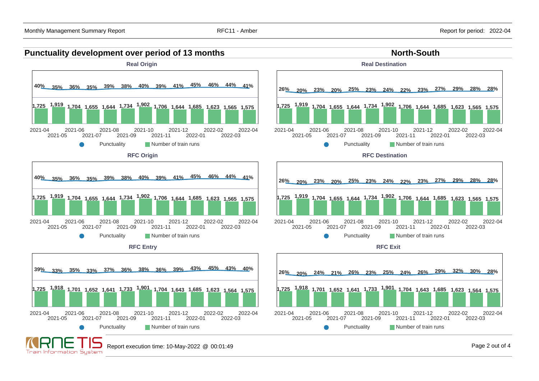



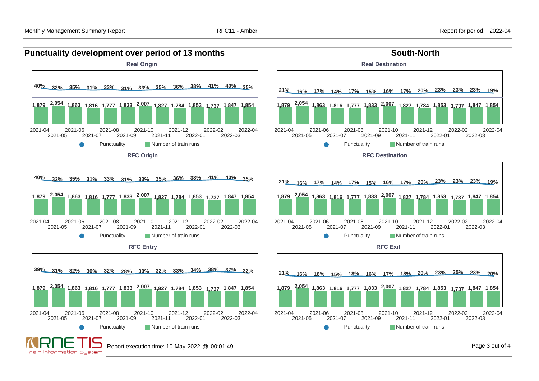## **Punctuality development over period of 13 months South-North South-North**